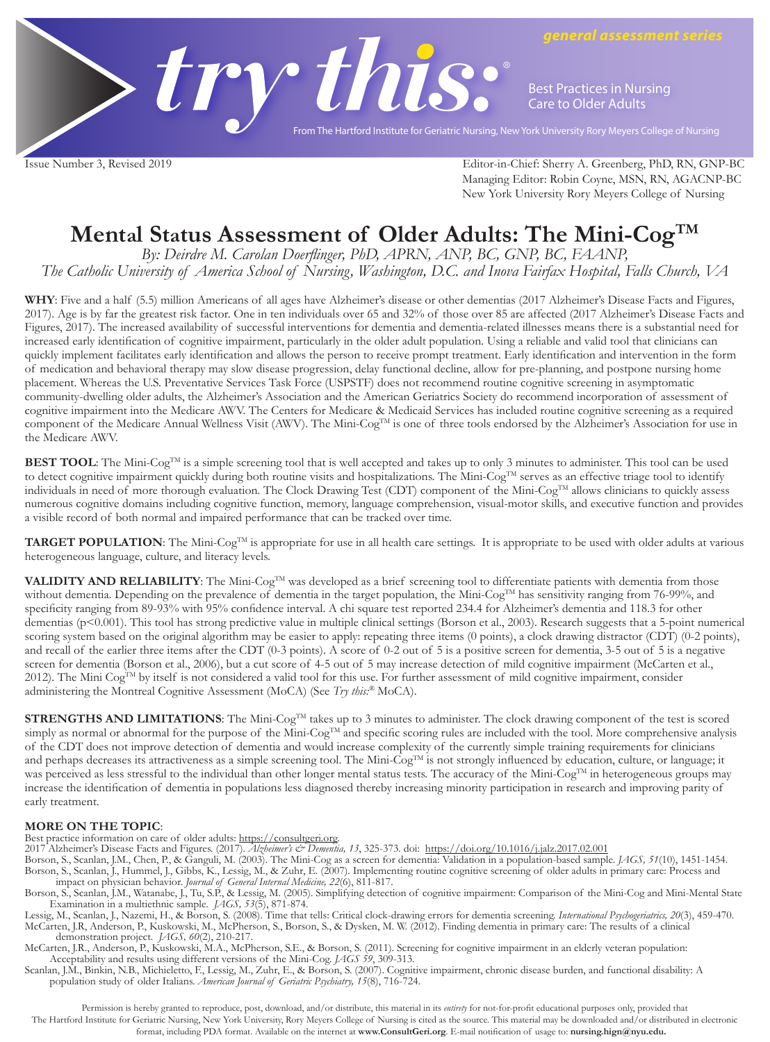

**Best Practices in Nursing Care to Older Adults**

*general assessment series*

From The Hartford Institute for Geriatric Nursing, New York University Rory Meyers College of Nursing

Issue Number 3, Revised 2019 Editor-in-Chief: Sherry A. Greenberg, PhD, RN, GNP-BC Managing Editor: Robin Coyne, MSN, RN, AGACNP-BC New York University Rory Meyers College of Nursing

## **Mental Status Assessment of Older Adults: The Mini-CogTM**

*By: Deirdre M. Carolan Doerflinger, PhD, APRN, ANP, BC, GNP, BC, FAANP, The Catholic University of America School of Nursing, Washington, D.C. and Inova Fairfax Hospital, Falls Church, VA*

**WHY**: Five and a half (5.5) million Americans of all ages have Alzheimer's disease or other dementias (2017 Alzheimer's Disease Facts and Figures, 2017). Age is by far the greatest risk factor. One in ten individuals over 65 and 32% of those over 85 are affected (2017 Alzheimer's Disease Facts and Figures, 2017). The increased availability of successful interventions for dementia and dementia-related illnesses means there is a substantial need for increased early identification of cognitive impairment, particularly in the older adult population. Using a reliable and valid tool that clinicians can quickly implement facilitates early identification and allows the person to receive prompt treatment. Early identification and intervention in the form of medication and behavioral therapy may slow disease progression, delay functional decline, allow for pre-planning, and postpone nursing home placement. Whereas the U.S. Preventative Services Task Force (USPSTF) does not recommend routine cognitive screening in asymptomatic community-dwelling older adults, the Alzheimer's Association and the American Geriatrics Society do recommend incorporation of assessment of cognitive impairment into the Medicare AWV. The Centers for Medicare & Medicaid Services has included routine cognitive screening as a required component of the Medicare Annual Wellness Visit (AWV). The Mini-Cog<sup>TM</sup> is one of three tools endorsed by the Alzheimer's Association for use in the Medicare AWV.

**BEST TOOL**: The Mini-Cog<sup>TM</sup> is a simple screening tool that is well accepted and takes up to only 3 minutes to administer. This tool can be used to detect cognitive impairment quickly during both routine visits and hospitalizations. The Mini-Cog<sup>TM</sup> serves as an effective triage tool to identify individuals in need of more thorough evaluation. The Clock Drawing Test (CDT) component of the Mini-Cog<sup>TM</sup> allows clinicians to quickly assess numerous cognitive domains including cognitive function, memory, language comprehension, visual-motor skills, and executive function and provides a visible record of both normal and impaired performance that can be tracked over time.

TARGET POPULATION: The Mini-Cog<sup>TM</sup> is appropriate for use in all health care settings. It is appropriate to be used with older adults at various heterogeneous language, culture, and literacy levels.

**VALIDITY AND RELIABILITY**: The Mini-Cog™ was developed as a brief screening tool to differentiate patients with dementia from those without dementia. Depending on the prevalence of dementia in the target population, the Mini-CogTM has sensitivity ranging from 76-99%, and specificity ranging from 89-93% with 95% confidence interval. A chi square test reported 234.4 for Alzheimer's dementia and 118.3 for other dementias (p<0.001). This tool has strong predictive value in multiple clinical settings (Borson et al., 2003). Research suggests that a 5-point numerical scoring system based on the original algorithm may be easier to apply: repeating three items (0 points), a clock drawing distractor (CDT) (0-2 points), and recall of the earlier three items after the CDT (0-3 points). A score of 0-2 out of 5 is a positive screen for dementia, 3-5 out of 5 is a negative screen for dementia (Borson et al., 2006), but a cut score of 4-5 out of 5 may increase detection of mild cognitive impairment (McCarten et al., 2012). The Mini Cog<sup>TM</sup> by itself is not considered a valid tool for this use. For further assessment of mild cognitive impairment, consider administering the Montreal Cognitive Assessment (MoCA) (See *Try this:®* MoCA).

**STRENGTHS AND LIMITATIONS:** The Mini-Cog<sup>TM</sup> takes up to 3 minutes to administer. The clock drawing component of the test is scored simply as normal or abnormal for the purpose of the Mini-Cog<sup>TM</sup> and specific scoring rules are included with the tool. More comprehensive analysis of the CDT does not improve detection of dementia and would increase complexity of the currently simple training requirements for clinicians and perhaps decreases its attractiveness as a simple screening tool. The Mini-Cog<sup>TM</sup> is not strongly influenced by education, culture, or language; it was perceived as less stressful to the individual than other longer mental status tests. The accuracy of the Mini-Cog<sup>TM</sup> in heterogeneous groups may increase the identification of dementia in populations less diagnosed thereby increasing minority participation in research and improving parity of early treatment.

**MORE ON THE TOPIC**: Best practice information on care of older adults: https://consultgeri.org.

2017 Alzheimer's Disease Facts and Figures. (2017). *Alzheimer's & Dementia, 13*, 325-373. doi: https://doi.org/10.1016/j.jalz.2017.02.001

- Borson, S., Scanlan, J.M., Chen, P., & Ganguli, M. (2003). The Mini-Cog as a screen for dementia: Validation in a population-based sample. *JAGS, 51*(10), 1451-1454. Borson, S., Scanlan, J., Hummel, J., Gibbs, K., Lessig, M., & Zuhr, E. (2007). Implementing routine cognitive screening of older adults in primary care: Process and
- impact on physician behavior. Journal of General Internal Medicine, 22(6), 811-817.<br>Borson, S., Scanlan, J.M., Watanabe, J., Tu, S.P., & Lessig, M. (2005). Simplifying detection of cognitive impairment: Comparison of the M Examination in a multiethnic sample. *JAGS, 53*(5), 871-874.

Lessig, M., Scanlan, J., Nazemi, H., & Borson, S. (2008). Time that tells: Critical clock-drawing errors for dementia screening. *International Psychogeriatrics, 20*(3), 459-470. McCarten, J.R, Anderson, P., Kuskowski, M., McPherson, S., Borson, S., & Dysken, M. W. (2012). Finding dementia in primary care: The results of a clinical demonstration project. *JAGS, 60*(2), 210-217.

McCarten, J.R., Anderson, P., Kuskowski, M.A., McPherson, S.E., & Borson, S. (2011). Screening for cognitive impairment in an elderly veteran population: Acceptability and results using different versions of the Mini-Cog. *JAGS 59*, 309-313.

Scanlan, J.M., Binkin, N.B., Michieletto, F., Lessig, M., Zuhr, E., & Borson, S. (2007). Cognitive impairment, chronic disease burden, and functional disability: A population study of older Italians. *American Journal of Geriatric Psychiatry, 15*(8), 716-724.

Permission is hereby granted to reproduce, post, download, and/or distribute, this material in its *entirety* for not-for-profit educational purposes only, provided that

The Hartford Institute for Geriatric Nursing, New York University, Rory Meyers College of Nursing is cited as the source. This material may be downloaded and/or distributed in electronic format, including PDA format. Available on the internet at **www.ConsultGeri.org**. E-mail notification of usage to: **nursing.hign@nyu.edu.**